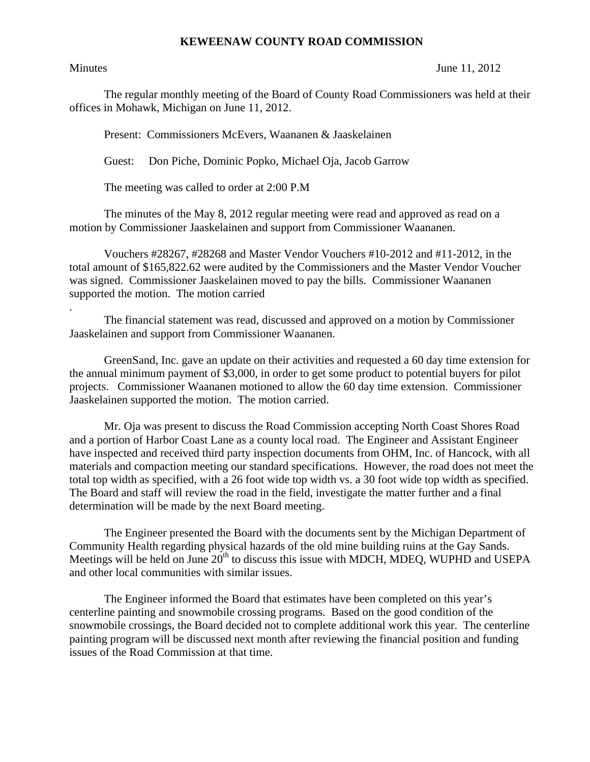## **KEWEENAW COUNTY ROAD COMMISSION**

.

Minutes June 11, 2012

The regular monthly meeting of the Board of County Road Commissioners was held at their offices in Mohawk, Michigan on June 11, 2012.

Present: Commissioners McEvers, Waananen & Jaaskelainen

Guest: Don Piche, Dominic Popko, Michael Oja, Jacob Garrow

The meeting was called to order at 2:00 P.M

 The minutes of the May 8, 2012 regular meeting were read and approved as read on a motion by Commissioner Jaaskelainen and support from Commissioner Waananen.

 Vouchers #28267, #28268 and Master Vendor Vouchers #10-2012 and #11-2012, in the total amount of \$165,822.62 were audited by the Commissioners and the Master Vendor Voucher was signed. Commissioner Jaaskelainen moved to pay the bills. Commissioner Waananen supported the motion. The motion carried

 The financial statement was read, discussed and approved on a motion by Commissioner Jaaskelainen and support from Commissioner Waananen.

 GreenSand, Inc. gave an update on their activities and requested a 60 day time extension for the annual minimum payment of \$3,000, in order to get some product to potential buyers for pilot projects. Commissioner Waananen motioned to allow the 60 day time extension. Commissioner Jaaskelainen supported the motion. The motion carried.

 Mr. Oja was present to discuss the Road Commission accepting North Coast Shores Road and a portion of Harbor Coast Lane as a county local road. The Engineer and Assistant Engineer have inspected and received third party inspection documents from OHM, Inc. of Hancock, with all materials and compaction meeting our standard specifications. However, the road does not meet the total top width as specified, with a 26 foot wide top width vs. a 30 foot wide top width as specified. The Board and staff will review the road in the field, investigate the matter further and a final determination will be made by the next Board meeting.

 The Engineer presented the Board with the documents sent by the Michigan Department of Community Health regarding physical hazards of the old mine building ruins at the Gay Sands. Meetings will be held on June  $20<sup>th</sup>$  to discuss this issue with MDCH, MDEQ, WUPHD and USEPA and other local communities with similar issues.

 The Engineer informed the Board that estimates have been completed on this year's centerline painting and snowmobile crossing programs. Based on the good condition of the snowmobile crossings, the Board decided not to complete additional work this year. The centerline painting program will be discussed next month after reviewing the financial position and funding issues of the Road Commission at that time.